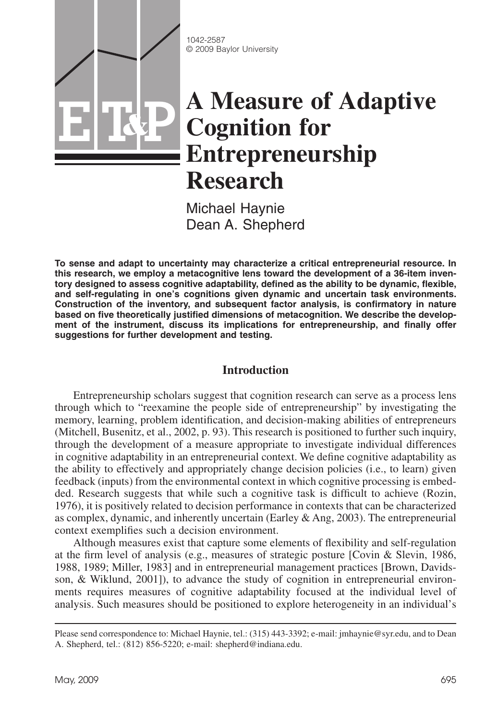1042-2587 © 2009 Baylor University

**E T&P**

# **A Measure of Adaptive Cognition for Entrepreneurship Research**

Michael Haynie Dean A. Shepherd

**To sense and adapt to uncertainty may characterize a critical entrepreneurial resource. In this research, we employ a metacognitive lens toward the development of a 36-item inventory designed to assess cognitive adaptability, defined as the ability to be dynamic, flexible, and self-regulating in one's cognitions given dynamic and uncertain task environments. Construction of the inventory, and subsequent factor analysis, is confirmatory in nature based on five theoretically justified dimensions of metacognition. We describe the development of the instrument, discuss its implications for entrepreneurship, and finally offer suggestions for further development and testing.**

# **Introduction**

Entrepreneurship scholars suggest that cognition research can serve as a process lens through which to "reexamine the people side of entrepreneurship" by investigating the memory, learning, problem identification, and decision-making abilities of entrepreneurs (Mitchell, Busenitz, et al., 2002, p. 93). This research is positioned to further such inquiry, through the development of a measure appropriate to investigate individual differences in cognitive adaptability in an entrepreneurial context. We define cognitive adaptability as the ability to effectively and appropriately change decision policies (i.e., to learn) given feedback (inputs) from the environmental context in which cognitive processing is embedded. Research suggests that while such a cognitive task is difficult to achieve (Rozin, 1976), it is positively related to decision performance in contexts that can be characterized as complex, dynamic, and inherently uncertain (Earley & Ang, 2003). The entrepreneurial context exemplifies such a decision environment.

Although measures exist that capture some elements of flexibility and self-regulation at the firm level of analysis (e.g., measures of strategic posture [Covin & Slevin, 1986, 1988, 1989; Miller, 1983] and in entrepreneurial management practices [Brown, Davidsson, & Wiklund, 2001]), to advance the study of cognition in entrepreneurial environments requires measures of cognitive adaptability focused at the individual level of analysis. Such measures should be positioned to explore heterogeneity in an individual's

Please send correspondence to: Michael Haynie, tel.: (315) 443-3392; e-mail: [jmhaynie@syr.edu,](mailto:jmhaynie@syr.edu) and to Dean A. Shepherd, tel.: (812) 856-5220; e-mail: [shepherd@indiana.edu.](mailto:shepherd@indiana.edu)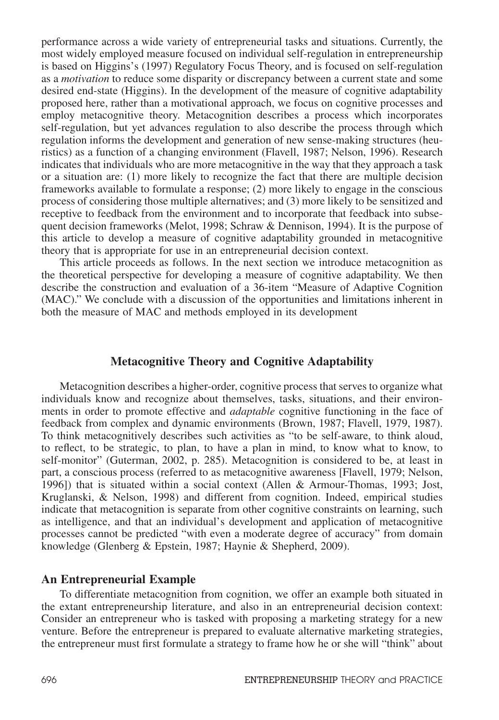performance across a wide variety of entrepreneurial tasks and situations. Currently, the most widely employed measure focused on individual self-regulation in entrepreneurship is based on Higgins's (1997) Regulatory Focus Theory, and is focused on self-regulation as a *motivation* to reduce some disparity or discrepancy between a current state and some desired end-state (Higgins). In the development of the measure of cognitive adaptability proposed here, rather than a motivational approach, we focus on cognitive processes and employ metacognitive theory. Metacognition describes a process which incorporates self-regulation, but yet advances regulation to also describe the process through which regulation informs the development and generation of new sense-making structures (heuristics) as a function of a changing environment (Flavell, 1987; Nelson, 1996). Research indicates that individuals who are more metacognitive in the way that they approach a task or a situation are: (1) more likely to recognize the fact that there are multiple decision frameworks available to formulate a response; (2) more likely to engage in the conscious process of considering those multiple alternatives; and (3) more likely to be sensitized and receptive to feedback from the environment and to incorporate that feedback into subsequent decision frameworks (Melot, 1998; Schraw & Dennison, 1994). It is the purpose of this article to develop a measure of cognitive adaptability grounded in metacognitive theory that is appropriate for use in an entrepreneurial decision context.

This article proceeds as follows. In the next section we introduce metacognition as the theoretical perspective for developing a measure of cognitive adaptability. We then describe the construction and evaluation of a 36-item "Measure of Adaptive Cognition (MAC)." We conclude with a discussion of the opportunities and limitations inherent in both the measure of MAC and methods employed in its development

## **Metacognitive Theory and Cognitive Adaptability**

Metacognition describes a higher-order, cognitive process that serves to organize what individuals know and recognize about themselves, tasks, situations, and their environments in order to promote effective and *adaptable* cognitive functioning in the face of feedback from complex and dynamic environments (Brown, 1987; Flavell, 1979, 1987). To think metacognitively describes such activities as "to be self-aware, to think aloud, to reflect, to be strategic, to plan, to have a plan in mind, to know what to know, to self-monitor" (Guterman, 2002, p. 285). Metacognition is considered to be, at least in part, a conscious process (referred to as metacognitive awareness [Flavell, 1979; Nelson, 1996]) that is situated within a social context (Allen & Armour-Thomas, 1993; Jost, Kruglanski, & Nelson, 1998) and different from cognition. Indeed, empirical studies indicate that metacognition is separate from other cognitive constraints on learning, such as intelligence, and that an individual's development and application of metacognitive processes cannot be predicted "with even a moderate degree of accuracy" from domain knowledge (Glenberg & Epstein, 1987; Haynie & Shepherd, 2009).

#### **An Entrepreneurial Example**

To differentiate metacognition from cognition, we offer an example both situated in the extant entrepreneurship literature, and also in an entrepreneurial decision context: Consider an entrepreneur who is tasked with proposing a marketing strategy for a new venture. Before the entrepreneur is prepared to evaluate alternative marketing strategies, the entrepreneur must first formulate a strategy to frame how he or she will "think" about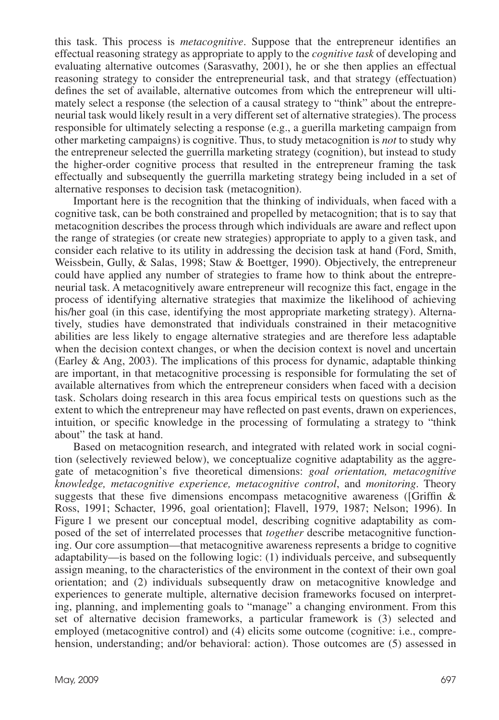this task. This process is *metacognitive*. Suppose that the entrepreneur identifies an effectual reasoning strategy as appropriate to apply to the *cognitive task* of developing and evaluating alternative outcomes (Sarasvathy, 2001), he or she then applies an effectual reasoning strategy to consider the entrepreneurial task, and that strategy (effectuation) defines the set of available, alternative outcomes from which the entrepreneur will ultimately select a response (the selection of a causal strategy to "think" about the entrepreneurial task would likely result in a very different set of alternative strategies). The process responsible for ultimately selecting a response (e.g., a guerilla marketing campaign from other marketing campaigns) is cognitive. Thus, to study metacognition is *not* to study why the entrepreneur selected the guerrilla marketing strategy (cognition), but instead to study the higher-order cognitive process that resulted in the entrepreneur framing the task effectually and subsequently the guerrilla marketing strategy being included in a set of alternative responses to decision task (metacognition).

Important here is the recognition that the thinking of individuals, when faced with a cognitive task, can be both constrained and propelled by metacognition; that is to say that metacognition describes the process through which individuals are aware and reflect upon the range of strategies (or create new strategies) appropriate to apply to a given task, and consider each relative to its utility in addressing the decision task at hand (Ford, Smith, Weissbein, Gully, & Salas, 1998; Staw & Boettger, 1990). Objectively, the entrepreneur could have applied any number of strategies to frame how to think about the entrepreneurial task. A metacognitively aware entrepreneur will recognize this fact, engage in the process of identifying alternative strategies that maximize the likelihood of achieving his/her goal (in this case, identifying the most appropriate marketing strategy). Alternatively, studies have demonstrated that individuals constrained in their metacognitive abilities are less likely to engage alternative strategies and are therefore less adaptable when the decision context changes, or when the decision context is novel and uncertain (Earley & Ang, 2003). The implications of this process for dynamic, adaptable thinking are important, in that metacognitive processing is responsible for formulating the set of available alternatives from which the entrepreneur considers when faced with a decision task. Scholars doing research in this area focus empirical tests on questions such as the extent to which the entrepreneur may have reflected on past events, drawn on experiences, intuition, or specific knowledge in the processing of formulating a strategy to "think about" the task at hand.

Based on metacognition research, and integrated with related work in social cognition (selectively reviewed below), we conceptualize cognitive adaptability as the aggregate of metacognition's five theoretical dimensions: *goal orientation, metacognitive knowledge, metacognitive experience, metacognitive control*, and *monitoring*. Theory suggests that these five dimensions encompass metacognitive awareness ([Griffin  $\&$ Ross, 1991; Schacter, 1996, goal orientation]; Flavell, 1979, 1987; Nelson; 1996). In Figure 1 we present our conceptual model, describing cognitive adaptability as composed of the set of interrelated processes that *together* describe metacognitive functioning. Our core assumption—that metacognitive awareness represents a bridge to cognitive adaptability—is based on the following logic: (1) individuals perceive, and subsequently assign meaning, to the characteristics of the environment in the context of their own goal orientation; and (2) individuals subsequently draw on metacognitive knowledge and experiences to generate multiple, alternative decision frameworks focused on interpreting, planning, and implementing goals to "manage" a changing environment. From this set of alternative decision frameworks, a particular framework is (3) selected and employed (metacognitive control) and (4) elicits some outcome (cognitive: i.e., comprehension, understanding; and/or behavioral: action). Those outcomes are (5) assessed in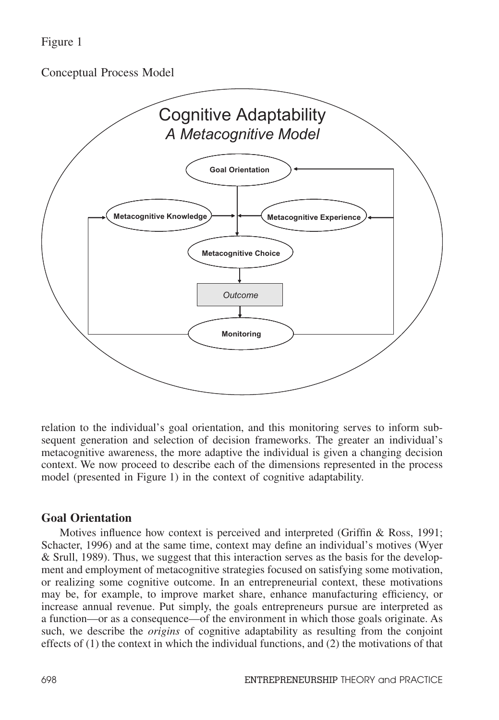Figure 1

# Conceptual Process Model



relation to the individual's goal orientation, and this monitoring serves to inform subsequent generation and selection of decision frameworks. The greater an individual's metacognitive awareness, the more adaptive the individual is given a changing decision context. We now proceed to describe each of the dimensions represented in the process model (presented in Figure 1) in the context of cognitive adaptability.

# **Goal Orientation**

Motives influence how context is perceived and interpreted (Griffin & Ross, 1991; Schacter, 1996) and at the same time, context may define an individual's motives (Wyer & Srull, 1989). Thus, we suggest that this interaction serves as the basis for the development and employment of metacognitive strategies focused on satisfying some motivation, or realizing some cognitive outcome. In an entrepreneurial context, these motivations may be, for example, to improve market share, enhance manufacturing efficiency, or increase annual revenue. Put simply, the goals entrepreneurs pursue are interpreted as a function—or as a consequence—of the environment in which those goals originate. As such, we describe the *origins* of cognitive adaptability as resulting from the conjoint effects of (1) the context in which the individual functions, and (2) the motivations of that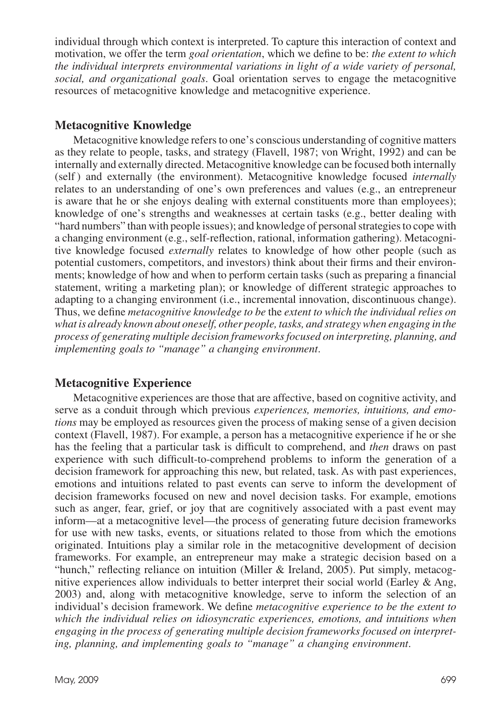individual through which context is interpreted. To capture this interaction of context and motivation, we offer the term *goal orientation*, which we define to be: *the extent to which the individual interprets environmental variations in light of a wide variety of personal, social, and organizational goals*. Goal orientation serves to engage the metacognitive resources of metacognitive knowledge and metacognitive experience.

## **Metacognitive Knowledge**

Metacognitive knowledge refers to one's conscious understanding of cognitive matters as they relate to people, tasks, and strategy (Flavell, 1987; von Wright, 1992) and can be internally and externally directed. Metacognitive knowledge can be focused both internally (self ) and externally (the environment). Metacognitive knowledge focused *internally* relates to an understanding of one's own preferences and values (e.g., an entrepreneur is aware that he or she enjoys dealing with external constituents more than employees); knowledge of one's strengths and weaknesses at certain tasks (e.g., better dealing with "hard numbers" than with people issues); and knowledge of personal strategies to cope with a changing environment (e.g., self-reflection, rational, information gathering). Metacognitive knowledge focused *externally* relates to knowledge of how other people (such as potential customers, competitors, and investors) think about their firms and their environments; knowledge of how and when to perform certain tasks (such as preparing a financial statement, writing a marketing plan); or knowledge of different strategic approaches to adapting to a changing environment (i.e., incremental innovation, discontinuous change). Thus, we define *metacognitive knowledge to be* the *extent to which the individual relies on what is already known about oneself, other people, tasks, and strategy when engaging in the process of generating multiple decision frameworks focused on interpreting, planning, and implementing goals to "manage" a changing environment*.

# **Metacognitive Experience**

Metacognitive experiences are those that are affective, based on cognitive activity, and serve as a conduit through which previous *experiences, memories, intuitions, and emotions* may be employed as resources given the process of making sense of a given decision context (Flavell, 1987). For example, a person has a metacognitive experience if he or she has the feeling that a particular task is difficult to comprehend, and *then* draws on past experience with such difficult-to-comprehend problems to inform the generation of a decision framework for approaching this new, but related, task. As with past experiences, emotions and intuitions related to past events can serve to inform the development of decision frameworks focused on new and novel decision tasks. For example, emotions such as anger, fear, grief, or joy that are cognitively associated with a past event may inform—at a metacognitive level—the process of generating future decision frameworks for use with new tasks, events, or situations related to those from which the emotions originated. Intuitions play a similar role in the metacognitive development of decision frameworks. For example, an entrepreneur may make a strategic decision based on a "hunch," reflecting reliance on intuition (Miller  $&$  Ireland, 2005). Put simply, metacognitive experiences allow individuals to better interpret their social world (Earley  $\&$  Ang, 2003) and, along with metacognitive knowledge, serve to inform the selection of an individual's decision framework. We define *metacognitive experience to be the extent to which the individual relies on idiosyncratic experiences, emotions, and intuitions when engaging in the process of generating multiple decision frameworks focused on interpreting, planning, and implementing goals to "manage" a changing environment*.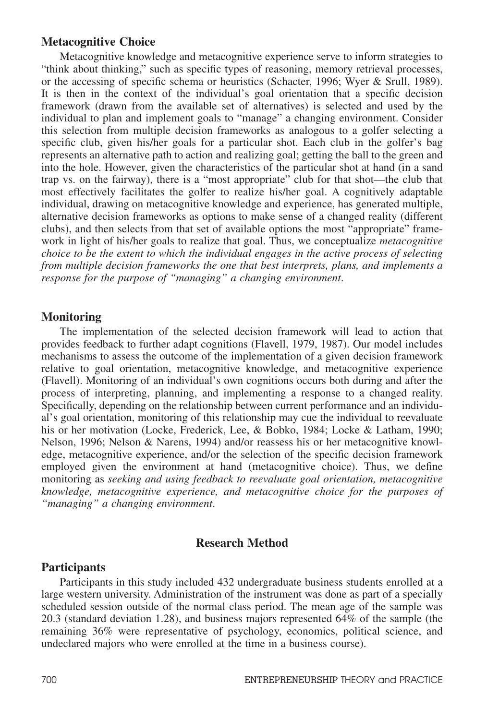## **Metacognitive Choice**

Metacognitive knowledge and metacognitive experience serve to inform strategies to "think about thinking," such as specific types of reasoning, memory retrieval processes, or the accessing of specific schema or heuristics (Schacter, 1996; Wyer & Srull, 1989). It is then in the context of the individual's goal orientation that a specific decision framework (drawn from the available set of alternatives) is selected and used by the individual to plan and implement goals to "manage" a changing environment. Consider this selection from multiple decision frameworks as analogous to a golfer selecting a specific club, given his/her goals for a particular shot. Each club in the golfer's bag represents an alternative path to action and realizing goal; getting the ball to the green and into the hole. However, given the characteristics of the particular shot at hand (in a sand trap vs. on the fairway), there is a "most appropriate" club for that shot—the club that most effectively facilitates the golfer to realize his/her goal. A cognitively adaptable individual, drawing on metacognitive knowledge and experience, has generated multiple, alternative decision frameworks as options to make sense of a changed reality (different clubs), and then selects from that set of available options the most "appropriate" framework in light of his/her goals to realize that goal. Thus, we conceptualize *metacognitive choice to be the extent to which the individual engages in the active process of selecting from multiple decision frameworks the one that best interprets, plans, and implements a response for the purpose of "managing" a changing environment*.

## **Monitoring**

The implementation of the selected decision framework will lead to action that provides feedback to further adapt cognitions (Flavell, 1979, 1987). Our model includes mechanisms to assess the outcome of the implementation of a given decision framework relative to goal orientation, metacognitive knowledge, and metacognitive experience (Flavell). Monitoring of an individual's own cognitions occurs both during and after the process of interpreting, planning, and implementing a response to a changed reality. Specifically, depending on the relationship between current performance and an individual's goal orientation, monitoring of this relationship may cue the individual to reevaluate his or her motivation (Locke, Frederick, Lee, & Bobko, 1984; Locke & Latham, 1990; Nelson, 1996; Nelson & Narens, 1994) and/or reassess his or her metacognitive knowledge, metacognitive experience, and/or the selection of the specific decision framework employed given the environment at hand (metacognitive choice). Thus, we define monitoring as *seeking and using feedback to reevaluate goal orientation, metacognitive knowledge, metacognitive experience, and metacognitive choice for the purposes of "managing" a changing environment*.

## **Research Method**

# **Participants**

Participants in this study included 432 undergraduate business students enrolled at a large western university. Administration of the instrument was done as part of a specially scheduled session outside of the normal class period. The mean age of the sample was 20.3 (standard deviation 1.28), and business majors represented 64% of the sample (the remaining 36% were representative of psychology, economics, political science, and undeclared majors who were enrolled at the time in a business course).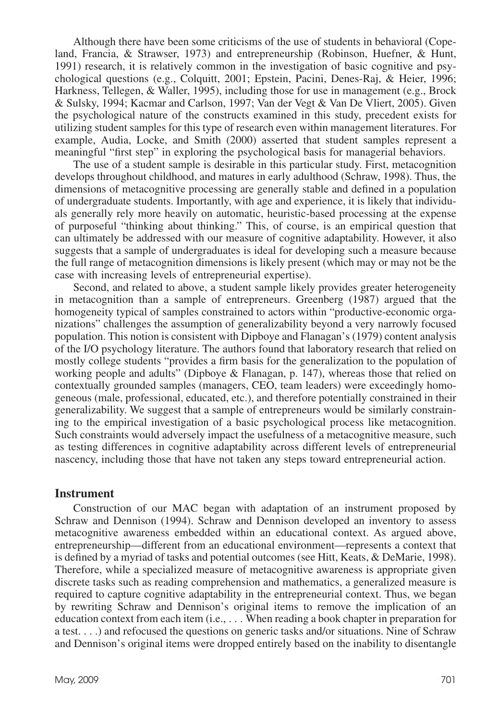Although there have been some criticisms of the use of students in behavioral (Copeland, Francia, & Strawser, 1973) and entrepreneurship (Robinson, Huefner, & Hunt, 1991) research, it is relatively common in the investigation of basic cognitive and psychological questions (e.g., Colquitt, 2001; Epstein, Pacini, Denes-Raj, & Heier, 1996; Harkness, Tellegen, & Waller, 1995), including those for use in management (e.g., Brock & Sulsky, 1994; Kacmar and Carlson, 1997; Van der Vegt & Van De Vliert, 2005). Given the psychological nature of the constructs examined in this study, precedent exists for utilizing student samples for this type of research even within management literatures. For example, Audia, Locke, and Smith (2000) asserted that student samples represent a meaningful "first step" in exploring the psychological basis for managerial behaviors.

The use of a student sample is desirable in this particular study. First, metacognition develops throughout childhood, and matures in early adulthood (Schraw, 1998). Thus, the dimensions of metacognitive processing are generally stable and defined in a population of undergraduate students. Importantly, with age and experience, it is likely that individuals generally rely more heavily on automatic, heuristic-based processing at the expense of purposeful "thinking about thinking." This, of course, is an empirical question that can ultimately be addressed with our measure of cognitive adaptability. However, it also suggests that a sample of undergraduates is ideal for developing such a measure because the full range of metacognition dimensions is likely present (which may or may not be the case with increasing levels of entrepreneurial expertise).

Second, and related to above, a student sample likely provides greater heterogeneity in metacognition than a sample of entrepreneurs. Greenberg (1987) argued that the homogeneity typical of samples constrained to actors within "productive-economic organizations" challenges the assumption of generalizability beyond a very narrowly focused population. This notion is consistent with Dipboye and Flanagan's (1979) content analysis of the I/O psychology literature. The authors found that laboratory research that relied on mostly college students "provides a firm basis for the generalization to the population of working people and adults" (Dipboye & Flanagan, p. 147), whereas those that relied on contextually grounded samples (managers, CEO, team leaders) were exceedingly homogeneous (male, professional, educated, etc.), and therefore potentially constrained in their generalizability. We suggest that a sample of entrepreneurs would be similarly constraining to the empirical investigation of a basic psychological process like metacognition. Such constraints would adversely impact the usefulness of a metacognitive measure, such as testing differences in cognitive adaptability across different levels of entrepreneurial nascency, including those that have not taken any steps toward entrepreneurial action.

#### **Instrument**

Construction of our MAC began with adaptation of an instrument proposed by Schraw and Dennison (1994). Schraw and Dennison developed an inventory to assess metacognitive awareness embedded within an educational context. As argued above, entrepreneurship—different from an educational environment—represents a context that is defined by a myriad of tasks and potential outcomes (see Hitt, Keats, & DeMarie, 1998). Therefore, while a specialized measure of metacognitive awareness is appropriate given discrete tasks such as reading comprehension and mathematics, a generalized measure is required to capture cognitive adaptability in the entrepreneurial context. Thus, we began by rewriting Schraw and Dennison's original items to remove the implication of an education context from each item (i.e., ... When reading a book chapter in preparation for a test. . . .) and refocused the questions on generic tasks and/or situations. Nine of Schraw and Dennison's original items were dropped entirely based on the inability to disentangle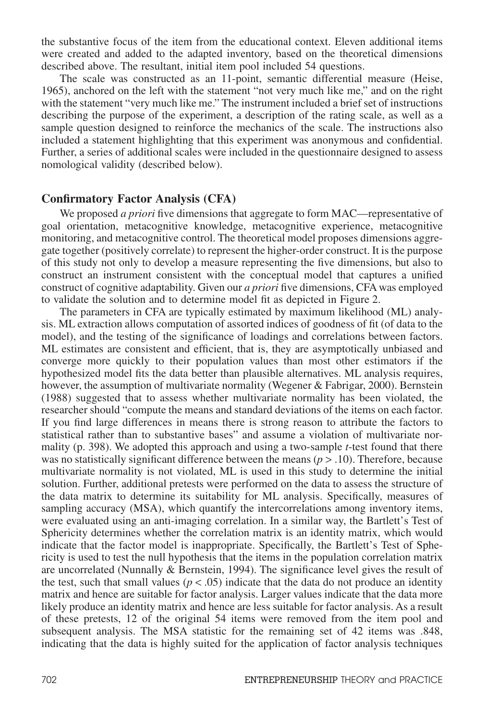the substantive focus of the item from the educational context. Eleven additional items were created and added to the adapted inventory, based on the theoretical dimensions described above. The resultant, initial item pool included 54 questions.

The scale was constructed as an 11-point, semantic differential measure (Heise, 1965), anchored on the left with the statement "not very much like me," and on the right with the statement "very much like me." The instrument included a brief set of instructions describing the purpose of the experiment, a description of the rating scale, as well as a sample question designed to reinforce the mechanics of the scale. The instructions also included a statement highlighting that this experiment was anonymous and confidential. Further, a series of additional scales were included in the questionnaire designed to assess nomological validity (described below).

#### **Confirmatory Factor Analysis (CFA)**

We proposed *a priori* five dimensions that aggregate to form MAC—representative of goal orientation, metacognitive knowledge, metacognitive experience, metacognitive monitoring, and metacognitive control. The theoretical model proposes dimensions aggregate together (positively correlate) to represent the higher-order construct. It is the purpose of this study not only to develop a measure representing the five dimensions, but also to construct an instrument consistent with the conceptual model that captures a unified construct of cognitive adaptability. Given our *a priori* five dimensions, CFA was employed to validate the solution and to determine model fit as depicted in Figure 2.

The parameters in CFA are typically estimated by maximum likelihood (ML) analysis. ML extraction allows computation of assorted indices of goodness of fit (of data to the model), and the testing of the significance of loadings and correlations between factors. ML estimates are consistent and efficient, that is, they are asymptotically unbiased and converge more quickly to their population values than most other estimators if the hypothesized model fits the data better than plausible alternatives. ML analysis requires, however, the assumption of multivariate normality (Wegener & Fabrigar, 2000). Bernstein (1988) suggested that to assess whether multivariate normality has been violated, the researcher should "compute the means and standard deviations of the items on each factor. If you find large differences in means there is strong reason to attribute the factors to statistical rather than to substantive bases" and assume a violation of multivariate normality (p. 398). We adopted this approach and using a two-sample *t*-test found that there was no statistically significant difference between the means ( $p > 0.10$ ). Therefore, because multivariate normality is not violated, ML is used in this study to determine the initial solution. Further, additional pretests were performed on the data to assess the structure of the data matrix to determine its suitability for ML analysis. Specifically, measures of sampling accuracy (MSA), which quantify the intercorrelations among inventory items, were evaluated using an anti-imaging correlation. In a similar way, the Bartlett's Test of Sphericity determines whether the correlation matrix is an identity matrix, which would indicate that the factor model is inappropriate. Specifically, the Bartlett's Test of Sphericity is used to test the null hypothesis that the items in the population correlation matrix are uncorrelated (Nunnally & Bernstein, 1994). The significance level gives the result of the test, such that small values ( $p < .05$ ) indicate that the data do not produce an identity matrix and hence are suitable for factor analysis. Larger values indicate that the data more likely produce an identity matrix and hence are less suitable for factor analysis. As a result of these pretests, 12 of the original 54 items were removed from the item pool and subsequent analysis. The MSA statistic for the remaining set of 42 items was .848, indicating that the data is highly suited for the application of factor analysis techniques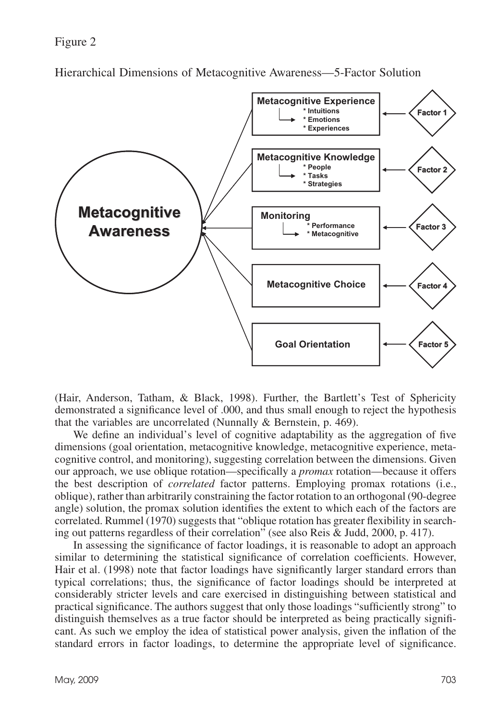Figure 2



Hierarchical Dimensions of Metacognitive Awareness—5-Factor Solution

(Hair, Anderson, Tatham, & Black, 1998). Further, the Bartlett's Test of Sphericity demonstrated a significance level of .000, and thus small enough to reject the hypothesis that the variables are uncorrelated (Nunnally & Bernstein, p. 469).

We define an individual's level of cognitive adaptability as the aggregation of five dimensions (goal orientation, metacognitive knowledge, metacognitive experience, metacognitive control, and monitoring), suggesting correlation between the dimensions. Given our approach, we use oblique rotation—specifically a *promax* rotation—because it offers the best description of *correlated* factor patterns. Employing promax rotations (i.e., oblique), rather than arbitrarily constraining the factor rotation to an orthogonal (90-degree angle) solution, the promax solution identifies the extent to which each of the factors are correlated. Rummel (1970) suggests that "oblique rotation has greater flexibility in searching out patterns regardless of their correlation" (see also Reis & Judd, 2000, p. 417).

In assessing the significance of factor loadings, it is reasonable to adopt an approach similar to determining the statistical significance of correlation coefficients. However, Hair et al. (1998) note that factor loadings have significantly larger standard errors than typical correlations; thus, the significance of factor loadings should be interpreted at considerably stricter levels and care exercised in distinguishing between statistical and practical significance. The authors suggest that only those loadings "sufficiently strong" to distinguish themselves as a true factor should be interpreted as being practically significant. As such we employ the idea of statistical power analysis, given the inflation of the standard errors in factor loadings, to determine the appropriate level of significance.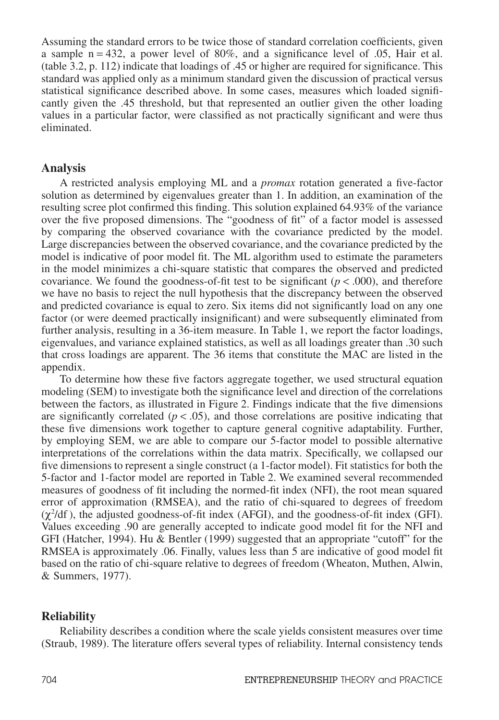Assuming the standard errors to be twice those of standard correlation coefficients, given a sample  $n = 432$ , a power level of 80%, and a significance level of 0.05, Hair et al. (table 3.2, p. 112) indicate that loadings of .45 or higher are required for significance. This standard was applied only as a minimum standard given the discussion of practical versus statistical significance described above. In some cases, measures which loaded significantly given the .45 threshold, but that represented an outlier given the other loading values in a particular factor, were classified as not practically significant and were thus eliminated.

#### **Analysis**

A restricted analysis employing ML and a *promax* rotation generated a five-factor solution as determined by eigenvalues greater than 1. In addition, an examination of the resulting scree plot confirmed this finding. This solution explained 64.93% of the variance over the five proposed dimensions. The "goodness of fit" of a factor model is assessed by comparing the observed covariance with the covariance predicted by the model. Large discrepancies between the observed covariance, and the covariance predicted by the model is indicative of poor model fit. The ML algorithm used to estimate the parameters in the model minimizes a chi-square statistic that compares the observed and predicted covariance. We found the goodness-of-fit test to be significant ( $p < .000$ ), and therefore we have no basis to reject the null hypothesis that the discrepancy between the observed and predicted covariance is equal to zero. Six items did not significantly load on any one factor (or were deemed practically insignificant) and were subsequently eliminated from further analysis, resulting in a 36-item measure. In Table 1, we report the factor loadings, eigenvalues, and variance explained statistics, as well as all loadings greater than .30 such that cross loadings are apparent. The 36 items that constitute the MAC are listed in the appendix.

To determine how these five factors aggregate together, we used structural equation modeling (SEM) to investigate both the significance level and direction of the correlations between the factors, as illustrated in Figure 2. Findings indicate that the five dimensions are significantly correlated  $(p < .05)$ , and those correlations are positive indicating that these five dimensions work together to capture general cognitive adaptability. Further, by employing SEM, we are able to compare our 5-factor model to possible alternative interpretations of the correlations within the data matrix. Specifically, we collapsed our five dimensions to represent a single construct (a 1-factor model). Fit statistics for both the 5-factor and 1-factor model are reported in Table 2. We examined several recommended measures of goodness of fit including the normed-fit index (NFI), the root mean squared error of approximation (RMSEA), and the ratio of chi-squared to degrees of freedom  $(\chi^2/df)$ , the adjusted goodness-of-fit index (AFGI), and the goodness-of-fit index (GFI). Values exceeding .90 are generally accepted to indicate good model fit for the NFI and GFI (Hatcher, 1994). Hu & Bentler (1999) suggested that an appropriate "cutoff" for the RMSEA is approximately .06. Finally, values less than 5 are indicative of good model fit based on the ratio of chi-square relative to degrees of freedom (Wheaton, Muthen, Alwin, & Summers, 1977).

## **Reliability**

Reliability describes a condition where the scale yields consistent measures over time (Straub, 1989). The literature offers several types of reliability. Internal consistency tends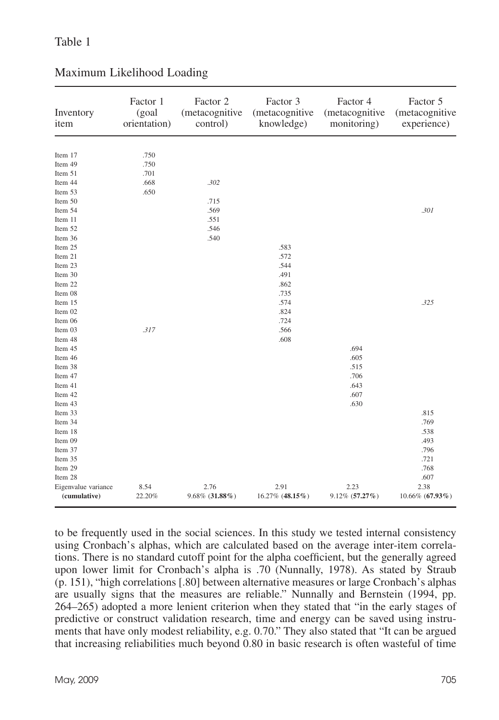| c, |  |
|----|--|
|    |  |

| Inventory<br>item   | Factor 1<br>(goal<br>orientation) | Factor 2<br>(metacognitive<br>control) | Factor 3<br>(metacognitive<br>knowledge) | Factor 4<br>(metacognitive<br>monitoring) | Factor 5<br>(metacognitive<br>experience) |
|---------------------|-----------------------------------|----------------------------------------|------------------------------------------|-------------------------------------------|-------------------------------------------|
|                     |                                   |                                        |                                          |                                           |                                           |
| Item 17             | .750                              |                                        |                                          |                                           |                                           |
| Item 49             | .750                              |                                        |                                          |                                           |                                           |
| Item 51             | .701                              |                                        |                                          |                                           |                                           |
| Item 44             | .668                              | .302                                   |                                          |                                           |                                           |
| Item 53             | .650                              |                                        |                                          |                                           |                                           |
| Item 50             |                                   | .715                                   |                                          |                                           |                                           |
| Item 54             |                                   | .569                                   |                                          |                                           | .301                                      |
| Item 11             |                                   | .551                                   |                                          |                                           |                                           |
| Item 52             |                                   | .546                                   |                                          |                                           |                                           |
| Item 36             |                                   | .540                                   |                                          |                                           |                                           |
| Item 25             |                                   |                                        | .583                                     |                                           |                                           |
| Item 21             |                                   |                                        | .572                                     |                                           |                                           |
| Item 23             |                                   |                                        | .544                                     |                                           |                                           |
| Item 30             |                                   |                                        | .491                                     |                                           |                                           |
| Item 22             |                                   |                                        | .862                                     |                                           |                                           |
| Item 08             |                                   |                                        | .735                                     |                                           |                                           |
| Item 15             |                                   |                                        | .574                                     |                                           | .325                                      |
| Item 02             |                                   |                                        | .824                                     |                                           |                                           |
| Item 06             |                                   |                                        | .724                                     |                                           |                                           |
| Item 03             | .317                              |                                        | .566                                     |                                           |                                           |
| Item 48             |                                   |                                        | .608                                     |                                           |                                           |
| Item 45             |                                   |                                        |                                          | .694                                      |                                           |
| Item 46             |                                   |                                        |                                          | .605                                      |                                           |
| Item 38             |                                   |                                        |                                          | .515                                      |                                           |
| Item 47             |                                   |                                        |                                          | .706                                      |                                           |
| Item 41             |                                   |                                        |                                          | .643                                      |                                           |
| Item 42             |                                   |                                        |                                          | .607                                      |                                           |
| Item 43             |                                   |                                        |                                          | .630                                      |                                           |
| Item 33             |                                   |                                        |                                          |                                           | .815                                      |
| Item 34             |                                   |                                        |                                          |                                           | .769                                      |
| Item 18             |                                   |                                        |                                          |                                           | .538                                      |
| Item 09             |                                   |                                        |                                          |                                           | .493                                      |
| Item 37             |                                   |                                        |                                          |                                           | .796                                      |
| Item 35             |                                   |                                        |                                          |                                           | .721                                      |
| Item 29             |                                   |                                        |                                          |                                           | .768                                      |
| Item 28             |                                   |                                        |                                          |                                           | .607                                      |
| Eigenvalue variance | 8.54                              | 2.76                                   | 2.91                                     | 2.23                                      | 2.38                                      |
| (cumulative)        | 22.20%                            | $9.68\%$ (31.88%)                      | 16.27% (48.15%)                          | $9.12\%$ (57.27%)                         | $10.66\%$ (67.93%)                        |

## Maximum Likelihood Loading

to be frequently used in the social sciences. In this study we tested internal consistency using Cronbach's alphas, which are calculated based on the average inter-item correlations. There is no standard cutoff point for the alpha coefficient, but the generally agreed upon lower limit for Cronbach's alpha is .70 (Nunnally, 1978). As stated by Straub (p. 151), "high correlations [.80] between alternative measures or large Cronbach's alphas are usually signs that the measures are reliable." Nunnally and Bernstein (1994, pp. 264–265) adopted a more lenient criterion when they stated that "in the early stages of predictive or construct validation research, time and energy can be saved using instruments that have only modest reliability, e.g. 0.70." They also stated that "It can be argued that increasing reliabilities much beyond 0.80 in basic research is often wasteful of time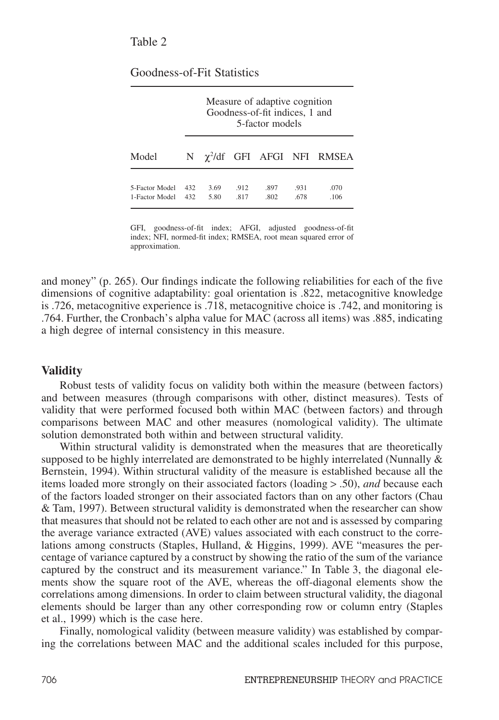## Table 2

|                                  | Measure of adaptive cognition<br>Goodness-of-fit indices, 1 and<br>5-factor models |              |             |              |              |                                   |
|----------------------------------|------------------------------------------------------------------------------------|--------------|-------------|--------------|--------------|-----------------------------------|
| Model                            |                                                                                    |              |             |              |              | N $\chi^2$ /df GFI AFGI NFI RMSEA |
| 5-Eactor Model<br>1-Eactor Model | 432<br>432                                                                         | 3.69<br>5.80 | .912<br>817 | .897<br>.802 | .931<br>.678 | .070<br>.106                      |

## Goodness-of-Fit Statistics

GFI, goodness-of-fit index; AFGI, adjusted goodness-of-fit index; NFI, normed-fit index; RMSEA, root mean squared error of approximation.

and money" (p. 265). Our findings indicate the following reliabilities for each of the five dimensions of cognitive adaptability: goal orientation is .822, metacognitive knowledge is .726, metacognitive experience is .718, metacognitive choice is .742, and monitoring is .764. Further, the Cronbach's alpha value for MAC (across all items) was .885, indicating a high degree of internal consistency in this measure.

## **Validity**

Robust tests of validity focus on validity both within the measure (between factors) and between measures (through comparisons with other, distinct measures). Tests of validity that were performed focused both within MAC (between factors) and through comparisons between MAC and other measures (nomological validity). The ultimate solution demonstrated both within and between structural validity.

Within structural validity is demonstrated when the measures that are theoretically supposed to be highly interrelated are demonstrated to be highly interrelated (Nunnally  $\&$ Bernstein, 1994). Within structural validity of the measure is established because all the items loaded more strongly on their associated factors (loading > .50), *and* because each of the factors loaded stronger on their associated factors than on any other factors (Chau & Tam, 1997). Between structural validity is demonstrated when the researcher can show that measures that should not be related to each other are not and is assessed by comparing the average variance extracted (AVE) values associated with each construct to the correlations among constructs (Staples, Hulland, & Higgins, 1999). AVE "measures the percentage of variance captured by a construct by showing the ratio of the sum of the variance captured by the construct and its measurement variance." In Table 3, the diagonal elements show the square root of the AVE, whereas the off-diagonal elements show the correlations among dimensions. In order to claim between structural validity, the diagonal elements should be larger than any other corresponding row or column entry (Staples et al., 1999) which is the case here.

Finally, nomological validity (between measure validity) was established by comparing the correlations between MAC and the additional scales included for this purpose,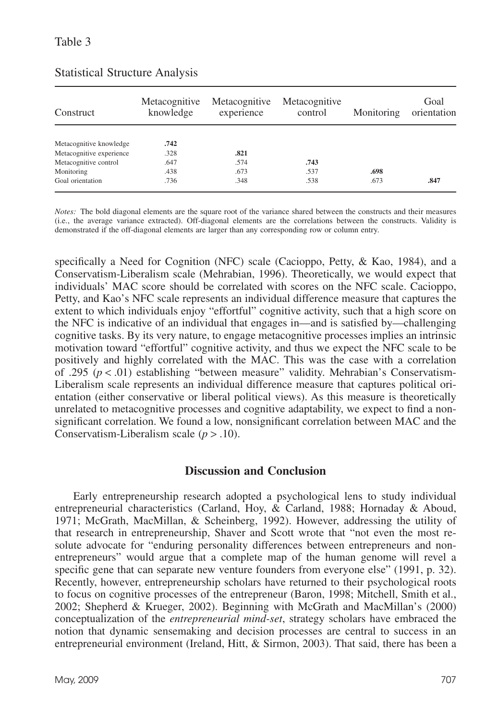| Construct                | Metacognitive<br>knowledge | Metacognitive<br>experience | Metacognitive<br>control | Monitoring | Goal<br>orientation |
|--------------------------|----------------------------|-----------------------------|--------------------------|------------|---------------------|
|                          |                            |                             |                          |            |                     |
| Metacognitive knowledge  | .742                       |                             |                          |            |                     |
| Metacognitive experience | .328                       | .821                        |                          |            |                     |
| Metacognitive control    | .647                       | .574                        | .743                     |            |                     |
| Monitoring               | .438                       | .673                        | .537                     | .698       |                     |
| Goal orientation         | .736                       | .348                        | .538                     | .673       | .847                |

## Statistical Structure Analysis

*Notes:* The bold diagonal elements are the square root of the variance shared between the constructs and their measures (i.e., the average variance extracted). Off-diagonal elements are the correlations between the constructs. Validity is demonstrated if the off-diagonal elements are larger than any corresponding row or column entry.

specifically a Need for Cognition (NFC) scale (Cacioppo, Petty, & Kao, 1984), and a Conservatism-Liberalism scale (Mehrabian, 1996). Theoretically, we would expect that individuals' MAC score should be correlated with scores on the NFC scale. Cacioppo, Petty, and Kao's NFC scale represents an individual difference measure that captures the extent to which individuals enjoy "effortful" cognitive activity, such that a high score on the NFC is indicative of an individual that engages in—and is satisfied by—challenging cognitive tasks. By its very nature, to engage metacognitive processes implies an intrinsic motivation toward "effortful" cognitive activity, and thus we expect the NFC scale to be positively and highly correlated with the MAC. This was the case with a correlation of .295  $(p < .01)$  establishing "between measure" validity. Mehrabian's Conservatism-Liberalism scale represents an individual difference measure that captures political orientation (either conservative or liberal political views). As this measure is theoretically unrelated to metacognitive processes and cognitive adaptability, we expect to find a nonsignificant correlation. We found a low, nonsignificant correlation between MAC and the Conservatism-Liberalism scale (*p* > .10).

## **Discussion and Conclusion**

Early entrepreneurship research adopted a psychological lens to study individual entrepreneurial characteristics (Carland, Hoy, & Carland, 1988; Hornaday & Aboud, 1971; McGrath, MacMillan, & Scheinberg, 1992). However, addressing the utility of that research in entrepreneurship, Shaver and Scott wrote that "not even the most resolute advocate for "enduring personality differences between entrepreneurs and nonentrepreneurs" would argue that a complete map of the human genome will revel a specific gene that can separate new venture founders from everyone else" (1991, p. 32). Recently, however, entrepreneurship scholars have returned to their psychological roots to focus on cognitive processes of the entrepreneur (Baron, 1998; Mitchell, Smith et al., 2002; Shepherd & Krueger, 2002). Beginning with McGrath and MacMillan's (2000) conceptualization of the *entrepreneurial mind-set*, strategy scholars have embraced the notion that dynamic sensemaking and decision processes are central to success in an entrepreneurial environment (Ireland, Hitt, & Sirmon, 2003). That said, there has been a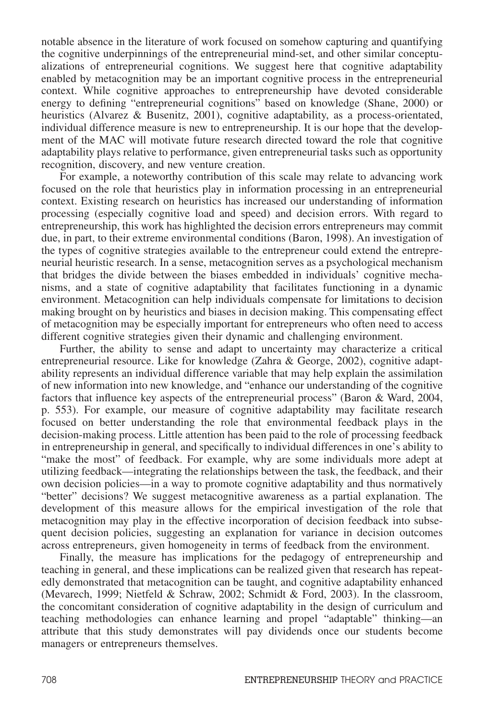notable absence in the literature of work focused on somehow capturing and quantifying the cognitive underpinnings of the entrepreneurial mind-set, and other similar conceptualizations of entrepreneurial cognitions. We suggest here that cognitive adaptability enabled by metacognition may be an important cognitive process in the entrepreneurial context. While cognitive approaches to entrepreneurship have devoted considerable energy to defining "entrepreneurial cognitions" based on knowledge (Shane, 2000) or heuristics (Alvarez & Busenitz, 2001), cognitive adaptability, as a process-orientated, individual difference measure is new to entrepreneurship. It is our hope that the development of the MAC will motivate future research directed toward the role that cognitive adaptability plays relative to performance, given entrepreneurial tasks such as opportunity recognition, discovery, and new venture creation.

For example, a noteworthy contribution of this scale may relate to advancing work focused on the role that heuristics play in information processing in an entrepreneurial context. Existing research on heuristics has increased our understanding of information processing (especially cognitive load and speed) and decision errors. With regard to entrepreneurship, this work has highlighted the decision errors entrepreneurs may commit due, in part, to their extreme environmental conditions (Baron, 1998). An investigation of the types of cognitive strategies available to the entrepreneur could extend the entrepreneurial heuristic research. In a sense, metacognition serves as a psychological mechanism that bridges the divide between the biases embedded in individuals' cognitive mechanisms, and a state of cognitive adaptability that facilitates functioning in a dynamic environment. Metacognition can help individuals compensate for limitations to decision making brought on by heuristics and biases in decision making. This compensating effect of metacognition may be especially important for entrepreneurs who often need to access different cognitive strategies given their dynamic and challenging environment.

Further, the ability to sense and adapt to uncertainty may characterize a critical entrepreneurial resource. Like for knowledge (Zahra & George, 2002), cognitive adaptability represents an individual difference variable that may help explain the assimilation of new information into new knowledge, and "enhance our understanding of the cognitive factors that influence key aspects of the entrepreneurial process" (Baron & Ward, 2004, p. 553). For example, our measure of cognitive adaptability may facilitate research focused on better understanding the role that environmental feedback plays in the decision-making process. Little attention has been paid to the role of processing feedback in entrepreneurship in general, and specifically to individual differences in one's ability to "make the most" of feedback. For example, why are some individuals more adept at utilizing feedback—integrating the relationships between the task, the feedback, and their own decision policies—in a way to promote cognitive adaptability and thus normatively "better" decisions? We suggest metacognitive awareness as a partial explanation. The development of this measure allows for the empirical investigation of the role that metacognition may play in the effective incorporation of decision feedback into subsequent decision policies, suggesting an explanation for variance in decision outcomes across entrepreneurs, given homogeneity in terms of feedback from the environment.

Finally, the measure has implications for the pedagogy of entrepreneurship and teaching in general, and these implications can be realized given that research has repeatedly demonstrated that metacognition can be taught, and cognitive adaptability enhanced (Mevarech, 1999; Nietfeld & Schraw, 2002; Schmidt & Ford, 2003). In the classroom, the concomitant consideration of cognitive adaptability in the design of curriculum and teaching methodologies can enhance learning and propel "adaptable" thinking—an attribute that this study demonstrates will pay dividends once our students become managers or entrepreneurs themselves.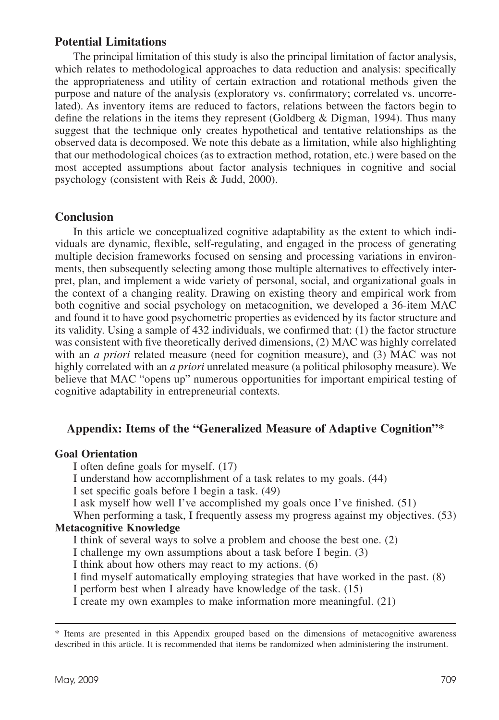#### **Potential Limitations**

The principal limitation of this study is also the principal limitation of factor analysis, which relates to methodological approaches to data reduction and analysis: specifically the appropriateness and utility of certain extraction and rotational methods given the purpose and nature of the analysis (exploratory vs. confirmatory; correlated vs. uncorrelated). As inventory items are reduced to factors, relations between the factors begin to define the relations in the items they represent (Goldberg  $\&$  Digman, 1994). Thus many suggest that the technique only creates hypothetical and tentative relationships as the observed data is decomposed. We note this debate as a limitation, while also highlighting that our methodological choices (as to extraction method, rotation, etc.) were based on the most accepted assumptions about factor analysis techniques in cognitive and social psychology (consistent with Reis & Judd, 2000).

#### **Conclusion**

In this article we conceptualized cognitive adaptability as the extent to which individuals are dynamic, flexible, self-regulating, and engaged in the process of generating multiple decision frameworks focused on sensing and processing variations in environments, then subsequently selecting among those multiple alternatives to effectively interpret, plan, and implement a wide variety of personal, social, and organizational goals in the context of a changing reality. Drawing on existing theory and empirical work from both cognitive and social psychology on metacognition, we developed a 36-item MAC and found it to have good psychometric properties as evidenced by its factor structure and its validity. Using a sample of 432 individuals, we confirmed that: (1) the factor structure was consistent with five theoretically derived dimensions, (2) MAC was highly correlated with an *a priori* related measure (need for cognition measure), and (3) MAC was not highly correlated with an *a priori* unrelated measure (a political philosophy measure). We believe that MAC "opens up" numerous opportunities for important empirical testing of cognitive adaptability in entrepreneurial contexts.

#### **Appendix: Items of the "Generalized Measure of Adaptive Cognition"\***

#### **Goal Orientation**

I often define goals for myself. (17)

I understand how accomplishment of a task relates to my goals. (44)

I set specific goals before I begin a task. (49)

I ask myself how well I've accomplished my goals once I've finished. (51)

When performing a task, I frequently assess my progress against my objectives. (53) **Metacognitive Knowledge**

I think of several ways to solve a problem and choose the best one. (2)

I challenge my own assumptions about a task before I begin. (3)

I think about how others may react to my actions. (6)

I find myself automatically employing strategies that have worked in the past. (8)

I perform best when I already have knowledge of the task. (15)

I create my own examples to make information more meaningful. (21)

<sup>\*</sup> Items are presented in this Appendix grouped based on the dimensions of metacognitive awareness described in this article. It is recommended that items be randomized when administering the instrument.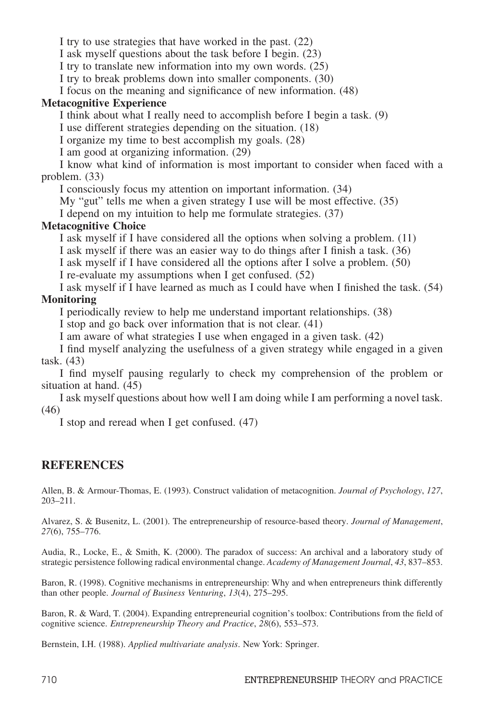I try to use strategies that have worked in the past. (22)

I ask myself questions about the task before I begin. (23)

I try to translate new information into my own words. (25)

I try to break problems down into smaller components. (30)

I focus on the meaning and significance of new information. (48)

#### **Metacognitive Experience**

I think about what I really need to accomplish before I begin a task. (9)

I use different strategies depending on the situation. (18)

I organize my time to best accomplish my goals. (28)

I am good at organizing information. (29)

I know what kind of information is most important to consider when faced with a problem. (33)

I consciously focus my attention on important information. (34)

My "gut" tells me when a given strategy I use will be most effective. (35)

I depend on my intuition to help me formulate strategies. (37)

#### **Metacognitive Choice**

I ask myself if I have considered all the options when solving a problem. (11)

I ask myself if there was an easier way to do things after I finish a task. (36)

I ask myself if I have considered all the options after I solve a problem. (50)

I re-evaluate my assumptions when I get confused. (52)

I ask myself if I have learned as much as I could have when I finished the task. (54) **Monitoring**

I periodically review to help me understand important relationships. (38)

I stop and go back over information that is not clear. (41)

I am aware of what strategies I use when engaged in a given task. (42)

I find myself analyzing the usefulness of a given strategy while engaged in a given task. (43)

I find myself pausing regularly to check my comprehension of the problem or situation at hand. (45)

I ask myself questions about how well I am doing while I am performing a novel task. (46)

I stop and reread when I get confused. (47)

# **REFERENCES**

Allen, B. & Armour-Thomas, E. (1993). Construct validation of metacognition. *Journal of Psychology*, *127*, 203–211.

Alvarez, S. & Busenitz, L. (2001). The entrepreneurship of resource-based theory. *Journal of Management*, *27*(6), 755–776.

Audia, R., Locke, E., & Smith, K. (2000). The paradox of success: An archival and a laboratory study of strategic persistence following radical environmental change. *Academy of Management Journal*, *43*, 837–853.

Baron, R. (1998). Cognitive mechanisms in entrepreneurship: Why and when entrepreneurs think differently than other people. *Journal of Business Venturing*, *13*(4), 275–295.

Baron, R. & Ward, T. (2004). Expanding entrepreneurial cognition's toolbox: Contributions from the field of cognitive science. *Entrepreneurship Theory and Practice*, *28*(6), 553–573.

Bernstein, I.H. (1988). *Applied multivariate analysis*. New York: Springer.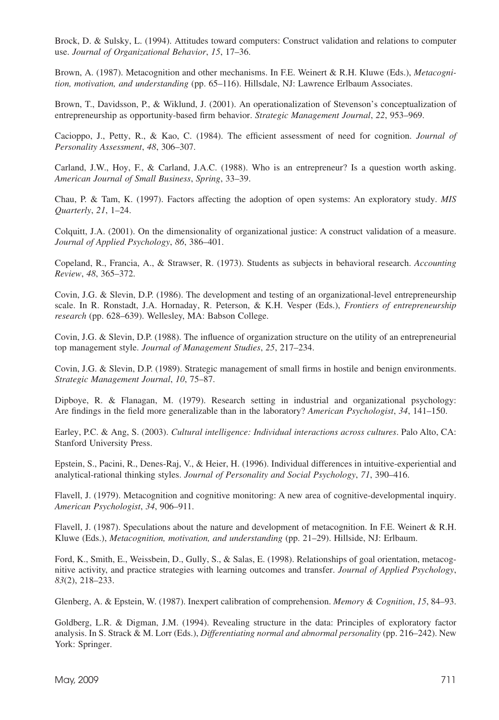Brock, D. & Sulsky, L. (1994). Attitudes toward computers: Construct validation and relations to computer use. *Journal of Organizational Behavior*, *15*, 17–36.

Brown, A. (1987). Metacognition and other mechanisms. In F.E. Weinert & R.H. Kluwe (Eds.), *Metacognition, motivation, and understanding* (pp. 65–116). Hillsdale, NJ: Lawrence Erlbaum Associates.

Brown, T., Davidsson, P., & Wiklund, J. (2001). An operationalization of Stevenson's conceptualization of entrepreneurship as opportunity-based firm behavior. *Strategic Management Journal*, *22*, 953–969.

Cacioppo, J., Petty, R., & Kao, C. (1984). The efficient assessment of need for cognition. *Journal of Personality Assessment*, *48*, 306–307.

Carland, J.W., Hoy, F., & Carland, J.A.C. (1988). Who is an entrepreneur? Is a question worth asking. *American Journal of Small Business*, *Spring*, 33–39.

Chau, P. & Tam, K. (1997). Factors affecting the adoption of open systems: An exploratory study. *MIS Quarterly*, *21*, 1–24.

Colquitt, J.A. (2001). On the dimensionality of organizational justice: A construct validation of a measure. *Journal of Applied Psychology*, *86*, 386–401.

Copeland, R., Francia, A., & Strawser, R. (1973). Students as subjects in behavioral research. *Accounting Review*, *48*, 365–372.

Covin, J.G. & Slevin, D.P. (1986). The development and testing of an organizational-level entrepreneurship scale. In R. Ronstadt, J.A. Hornaday, R. Peterson, & K.H. Vesper (Eds.), *Frontiers of entrepreneurship research* (pp. 628–639). Wellesley, MA: Babson College.

Covin, J.G. & Slevin, D.P. (1988). The influence of organization structure on the utility of an entrepreneurial top management style. *Journal of Management Studies*, *25*, 217–234.

Covin, J.G. & Slevin, D.P. (1989). Strategic management of small firms in hostile and benign environments. *Strategic Management Journal*, *10*, 75–87.

Dipboye, R. & Flanagan, M. (1979). Research setting in industrial and organizational psychology: Are findings in the field more generalizable than in the laboratory? *American Psychologist*, *34*, 141–150.

Earley, P.C. & Ang, S. (2003). *Cultural intelligence: Individual interactions across cultures*. Palo Alto, CA: Stanford University Press.

Epstein, S., Pacini, R., Denes-Raj, V., & Heier, H. (1996). Individual differences in intuitive-experiential and analytical-rational thinking styles. *Journal of Personality and Social Psychology*, *71*, 390–416.

Flavell, J. (1979). Metacognition and cognitive monitoring: A new area of cognitive-developmental inquiry. *American Psychologist*, *34*, 906–911.

Flavell, J. (1987). Speculations about the nature and development of metacognition. In F.E. Weinert & R.H. Kluwe (Eds.), *Metacognition, motivation, and understanding* (pp. 21–29). Hillside, NJ: Erlbaum.

Ford, K., Smith, E., Weissbein, D., Gully, S., & Salas, E. (1998). Relationships of goal orientation, metacognitive activity, and practice strategies with learning outcomes and transfer. *Journal of Applied Psychology*, *83*(2), 218–233.

Glenberg, A. & Epstein, W. (1987). Inexpert calibration of comprehension. *Memory & Cognition*, *15*, 84–93.

Goldberg, L.R. & Digman, J.M. (1994). Revealing structure in the data: Principles of exploratory factor analysis. In S. Strack & M. Lorr (Eds.), *Differentiating normal and abnormal personality* (pp. 216–242). New York: Springer.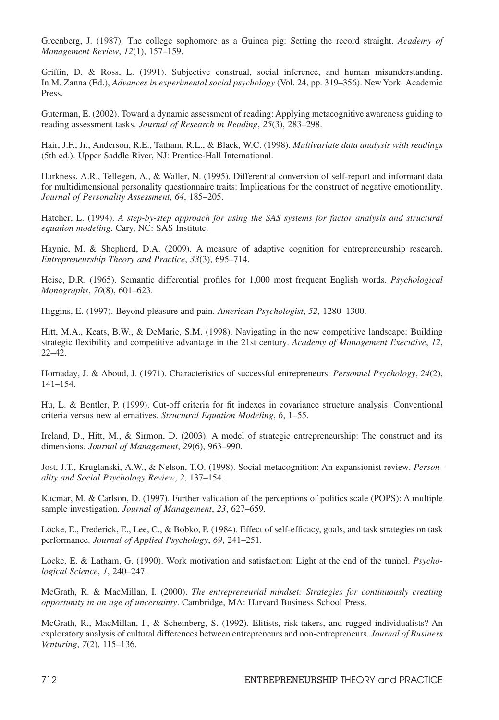Greenberg, J. (1987). The college sophomore as a Guinea pig: Setting the record straight. *Academy of Management Review*, *12*(1), 157–159.

Griffin, D. & Ross, L. (1991). Subjective construal, social inference, and human misunderstanding. In M. Zanna (Ed.), *Advances in experimental social psychology* (Vol. 24, pp. 319–356). New York: Academic Press.

Guterman, E. (2002). Toward a dynamic assessment of reading: Applying metacognitive awareness guiding to reading assessment tasks. *Journal of Research in Reading*, *25*(3), 283–298.

Hair, J.F., Jr., Anderson, R.E., Tatham, R.L., & Black, W.C. (1998). *Multivariate data analysis with readings* (5th ed.). Upper Saddle River, NJ: Prentice-Hall International.

Harkness, A.R., Tellegen, A., & Waller, N. (1995). Differential conversion of self-report and informant data for multidimensional personality questionnaire traits: Implications for the construct of negative emotionality. *Journal of Personality Assessment*, *64*, 185–205.

Hatcher, L. (1994). *A step-by-step approach for using the SAS systems for factor analysis and structural equation modeling*. Cary, NC: SAS Institute.

Haynie, M. & Shepherd, D.A. (2009). A measure of adaptive cognition for entrepreneurship research. *Entrepreneurship Theory and Practice*, *33*(3), 695–714.

Heise, D.R. (1965). Semantic differential profiles for 1,000 most frequent English words. *Psychological Monographs*, *70*(8), 601–623.

Higgins, E. (1997). Beyond pleasure and pain. *American Psychologist*, *52*, 1280–1300.

Hitt, M.A., Keats, B.W., & DeMarie, S.M. (1998). Navigating in the new competitive landscape: Building strategic flexibility and competitive advantage in the 21st century. *Academy of Management Executive*, *12*, 22–42.

Hornaday, J. & Aboud, J. (1971). Characteristics of successful entrepreneurs. *Personnel Psychology*, *24*(2), 141–154.

Hu, L. & Bentler, P. (1999). Cut-off criteria for fit indexes in covariance structure analysis: Conventional criteria versus new alternatives. *Structural Equation Modeling*, *6*, 1–55.

Ireland, D., Hitt, M., & Sirmon, D. (2003). A model of strategic entrepreneurship: The construct and its dimensions. *Journal of Management*, *29*(6), 963–990.

Jost, J.T., Kruglanski, A.W., & Nelson, T.O. (1998). Social metacognition: An expansionist review. *Personality and Social Psychology Review*, *2*, 137–154.

Kacmar, M. & Carlson, D. (1997). Further validation of the perceptions of politics scale (POPS): A multiple sample investigation. *Journal of Management*, *23*, 627–659.

Locke, E., Frederick, E., Lee, C., & Bobko, P. (1984). Effect of self-efficacy, goals, and task strategies on task performance. *Journal of Applied Psychology*, *69*, 241–251.

Locke, E. & Latham, G. (1990). Work motivation and satisfaction: Light at the end of the tunnel. *Psychological Science*, *1*, 240–247.

McGrath, R. & MacMillan, I. (2000). *The entrepreneurial mindset: Strategies for continuously creating opportunity in an age of uncertainty*. Cambridge, MA: Harvard Business School Press.

McGrath, R., MacMillan, I., & Scheinberg, S. (1992). Elitists, risk-takers, and rugged individualists? An exploratory analysis of cultural differences between entrepreneurs and non-entrepreneurs. *Journal of Business Venturing*, *7*(2), 115–136.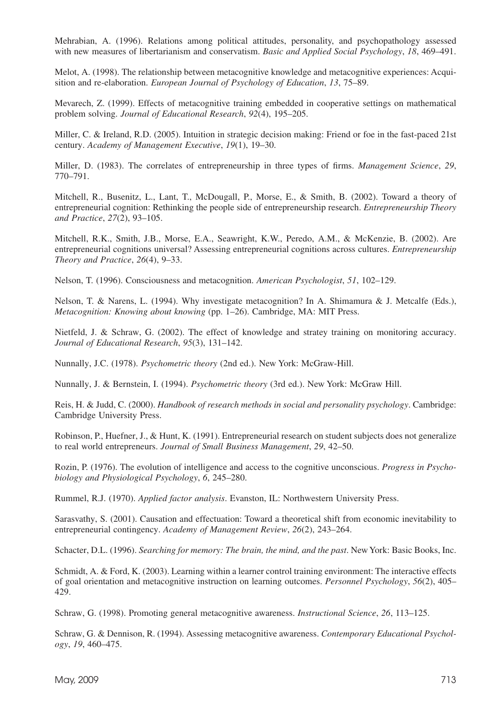Mehrabian, A. (1996). Relations among political attitudes, personality, and psychopathology assessed with new measures of libertarianism and conservatism. *Basic and Applied Social Psychology*, *18*, 469–491.

Melot, A. (1998). The relationship between metacognitive knowledge and metacognitive experiences: Acquisition and re-elaboration. *European Journal of Psychology of Education*, *13*, 75–89.

Mevarech, Z. (1999). Effects of metacognitive training embedded in cooperative settings on mathematical problem solving. *Journal of Educational Research*, *92*(4), 195–205.

Miller, C. & Ireland, R.D. (2005). Intuition in strategic decision making: Friend or foe in the fast-paced 21st century. *Academy of Management Executive*, *19*(1), 19–30.

Miller, D. (1983). The correlates of entrepreneurship in three types of firms. *Management Science*, *29*, 770–791.

Mitchell, R., Busenitz, L., Lant, T., McDougall, P., Morse, E., & Smith, B. (2002). Toward a theory of entrepreneurial cognition: Rethinking the people side of entrepreneurship research. *Entrepreneurship Theory and Practice*, *27*(2), 93–105.

Mitchell, R.K., Smith, J.B., Morse, E.A., Seawright, K.W., Peredo, A.M., & McKenzie, B. (2002). Are entrepreneurial cognitions universal? Assessing entrepreneurial cognitions across cultures. *Entrepreneurship Theory and Practice*, *26*(4), 9–33.

Nelson, T. (1996). Consciousness and metacognition. *American Psychologist*, *51*, 102–129.

Nelson, T. & Narens, L. (1994). Why investigate metacognition? In A. Shimamura & J. Metcalfe (Eds.), *Metacognition: Knowing about knowing* (pp. 1–26). Cambridge, MA: MIT Press.

Nietfeld, J. & Schraw, G. (2002). The effect of knowledge and stratey training on monitoring accuracy. *Journal of Educational Research*, *95*(3), 131–142.

Nunnally, J.C. (1978). *Psychometric theory* (2nd ed.). New York: McGraw-Hill.

Nunnally, J. & Bernstein, I. (1994). *Psychometric theory* (3rd ed.). New York: McGraw Hill.

Reis, H. & Judd, C. (2000). *Handbook of research methods in social and personality psychology*. Cambridge: Cambridge University Press.

Robinson, P., Huefner, J., & Hunt, K. (1991). Entrepreneurial research on student subjects does not generalize to real world entrepreneurs. *Journal of Small Business Management*, *29*, 42–50.

Rozin, P. (1976). The evolution of intelligence and access to the cognitive unconscious. *Progress in Psychobiology and Physiological Psychology*, *6*, 245–280.

Rummel, R.J. (1970). *Applied factor analysis*. Evanston, IL: Northwestern University Press.

Sarasvathy, S. (2001). Causation and effectuation: Toward a theoretical shift from economic inevitability to entrepreneurial contingency. *Academy of Management Review*, *26*(2), 243–264.

Schacter, D.L. (1996). *Searching for memory: The brain, the mind, and the past*. New York: Basic Books, Inc.

Schmidt, A. & Ford, K. (2003). Learning within a learner control training environment: The interactive effects of goal orientation and metacognitive instruction on learning outcomes. *Personnel Psychology*, *56*(2), 405– 429.

Schraw, G. (1998). Promoting general metacognitive awareness. *Instructional Science*, *26*, 113–125.

Schraw, G. & Dennison, R. (1994). Assessing metacognitive awareness. *Contemporary Educational Psychology*, *19*, 460–475.